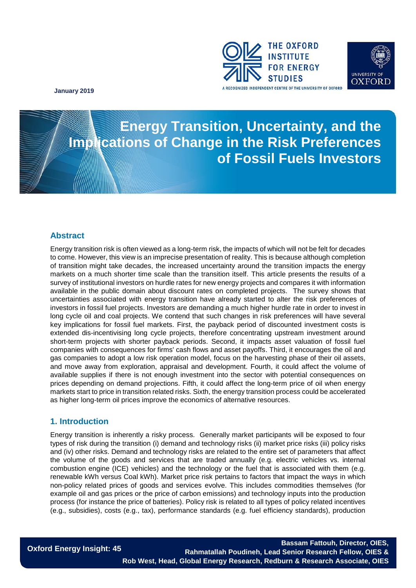



**Energy Transition, Uncertainty, and the Sahuary 2019**<br> **Sub-Saharan Africa Energy Transition, Uncertainty, and the Implications of Change in the Risk Preferences of Fossil Fuels Investors**

#### **Abstract**

Energy transition risk is often viewed as a long-term risk, the impacts of which will not be felt for decades to come. However, this view is an imprecise presentation of reality. This is because although completion of transition might take decades, the increased uncertainty around the transition impacts the energy markets on a much shorter time scale than the transition itself. This article presents the results of a survey of institutional investors on hurdle rates for new energy projects and compares it with information available in the public domain about discount rates on completed projects. The survey shows that uncertainties associated with energy transition have already started to alter the risk preferences of investors in fossil fuel projects. Investors are demanding a much higher hurdle rate in order to invest in long cycle oil and coal projects. We contend that such changes in risk preferences will have several key implications for fossil fuel markets. First, the payback period of discounted investment costs is extended dis-incentivising long cycle projects, therefore concentrating upstream investment around short-term projects with shorter payback periods. Second, it impacts asset valuation of fossil fuel companies with consequences for firms' cash flows and asset payoffs. Third, it encourages the oil and gas companies to adopt a low risk operation model, focus on the harvesting phase of their oil assets, and move away from exploration, appraisal and development. Fourth, it could affect the volume of available supplies if there is not enough investment into the sector with potential consequences on prices depending on demand projections. Fifth, it could affect the long-term price of oil when energy markets start to price in transition related risks. Sixth, the energy transition process could be accelerated as higher long-term oil prices improve the economics of alternative resources.

#### **1. Introduction**

Energy transition is inherently a risky process. Generally market participants will be exposed to four types of risk during the transition (i) demand and technology risks (ii) market price risks (iii) policy risks and (iv) other risks. Demand and technology risks are related to the entire set of parameters that affect the volume of the goods and services that are traded annually (e.g. electric vehicles vs. internal combustion engine (ICE) vehicles) and the technology or the fuel that is associated with them (e.g. renewable kWh versus Coal kWh). Market price risk pertains to factors that impact the ways in which non-policy related prices of goods and services evolve. This includes commodities themselves (for example oil and gas prices or the price of carbon emissions) and technology inputs into the production process (for instance the price of batteries). Policy risk is related to all types of policy related incentives (e.g., subsidies), costs (e.g., tax), performance standards (e.g. fuel efficiency standards), production

**Oxford Energy Insight: 45**

**Oxford Energy Insight: 44 Mike Fulwood, Senior Research Fellow Rahmatallah Poudineh, Lead Senior Research Fellow, OIES & Bassam Fattouh, Director, OIES, Rob West, Head, Global Energy Research, Redburn & Research Associate, OIES**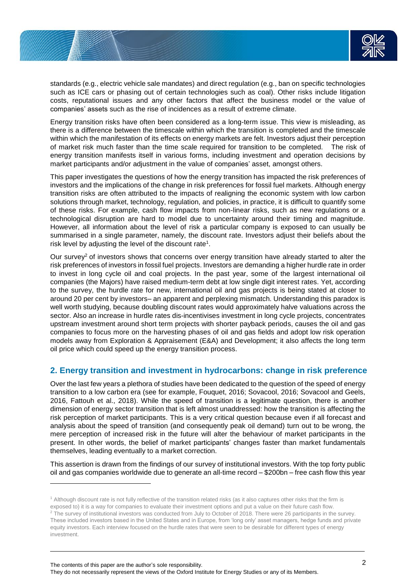

standards (e.g., electric vehicle sale mandates) and direct regulation (e.g., ban on specific technologies such as ICE cars or phasing out of certain technologies such as coal). Other risks include litigation costs, reputational issues and any other factors that affect the business model or the value of companies' assets such as the rise of incidences as a result of extreme climate.

Energy transition risks have often been considered as a long-term issue. This view is misleading, as there is a difference between the timescale within which the transition is completed and the timescale within which the manifestation of its effects on energy markets are felt. Investors adjust their perception of market risk much faster than the time scale required for transition to be completed. The risk of energy transition manifests itself in various forms, including investment and operation decisions by market participants and/or adjustment in the value of companies' asset, amongst others.

This paper investigates the questions of how the energy transition has impacted the risk preferences of investors and the implications of the change in risk preferences for fossil fuel markets. Although energy transition risks are often attributed to the impacts of realigning the economic system with low carbon solutions through market, technology, regulation, and policies, in practice, it is difficult to quantify some of these risks. For example, cash flow impacts from non-linear risks, such as new regulations or a technological disruption are hard to model due to uncertainty around their timing and magnitude. However, all information about the level of risk a particular company is exposed to can usually be summarised in a single parameter, namely, the discount rate. Investors adjust their beliefs about the risk level by adjusting the level of the discount rate<sup>1</sup>.

Our survey<sup>2</sup> of investors shows that concerns over energy transition have already started to alter the risk preferences of investors in fossil fuel projects. Investors are demanding a higher hurdle rate in order to invest in long cycle oil and coal projects. In the past year, some of the largest international oil companies (the Majors) have raised medium-term debt at low single digit interest rates. Yet, according to the survey, the hurdle rate for new, international oil and gas projects is being stated at closer to around 20 per cent by investors– an apparent and perplexing mismatch. Understanding this paradox is well worth studying, because doubling discount rates would approximately halve valuations across the sector. Also an increase in hurdle rates dis-incentivises investment in long cycle projects, concentrates upstream investment around short term projects with shorter payback periods, causes the oil and gas companies to focus more on the harvesting phases of oil and gas fields and adopt low risk operation models away from Exploration & Appraisement (E&A) and Development; it also affects the long term oil price which could speed up the energy transition process.

## **2. Energy transition and investment in hydrocarbons: change in risk preference**

Over the last few years a plethora of studies have been dedicated to the question of the speed of energy transition to a low carbon era (see for example, Fouquet, 2016; Sovacool, 2016; Sovacool and Geels, 2016, Fattouh et al., 2018). While the speed of transition is a legitimate question, there is another dimension of energy sector transition that is left almost unaddressed: how the transition is affecting the risk perception of market participants. This is a very critical question because even if all forecast and analysis about the speed of transition (and consequently peak oil demand) turn out to be wrong, the mere perception of increased risk in the future will alter the behaviour of market participants in the present. In other words, the belief of market participants' changes faster than market fundamentals themselves, leading eventually to a market correction.

This assertion is drawn from the findings of our survey of institutional investors. With the top forty public oil and gas companies worldwide due to generate an all-time record – \$200bn – free cash flow this year

l

<sup>1</sup> Although discount rate is not fully reflective of the transition related risks (as it also captures other risks that the firm is exposed to) it is a way for companies to evaluate their investment options and put a value on their future cash flow. <sup>2</sup> The survey of institutional investors was conducted from July to October of 2018. There were 26 participants in the survey. These included investors based in the United States and in Europe, from 'long only' asset managers, hedge funds and private equity investors. Each interview focused on the hurdle rates that were seen to be desirable for different types of energy investment.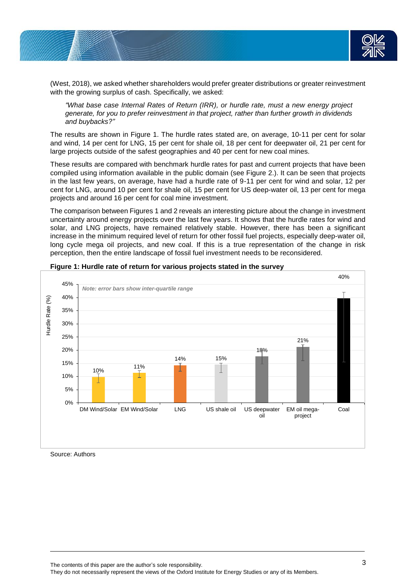

(West, 2018), we asked whether shareholders would prefer greater distributions or greater reinvestment with the growing surplus of cash. Specifically, we asked:

*"What base case Internal Rates of Return (IRR), or hurdle rate, must a new energy project generate, for you to prefer reinvestment in that project, rather than further growth in dividends and buybacks?"* 

The results are shown in Figure 1. The hurdle rates stated are, on average, 10-11 per cent for solar and wind, 14 per cent for LNG, 15 per cent for shale oil, 18 per cent for deepwater oil, 21 per cent for large projects outside of the safest geographies and 40 per cent for new coal mines.

These results are compared with benchmark hurdle rates for past and current projects that have been compiled using information available in the public domain (see Figure 2.). It can be seen that projects in the last few years, on average, have had a hurdle rate of 9-11 per cent for wind and solar, 12 per cent for LNG, around 10 per cent for shale oil, 15 per cent for US deep-water oil, 13 per cent for mega projects and around 16 per cent for coal mine investment.

The comparison between Figures 1 and 2 reveals an interesting picture about the change in investment uncertainty around energy projects over the last few years. It shows that the hurdle rates for wind and solar, and LNG projects, have remained relatively stable. However, there has been a significant increase in the minimum required level of return for other fossil fuel projects, especially deep-water oil, long cycle mega oil projects, and new coal. If this is a true representation of the change in risk perception, then the entire landscape of fossil fuel investment needs to be reconsidered.



#### **Figure 1: Hurdle rate of return for various projects stated in the survey**

Source: Authors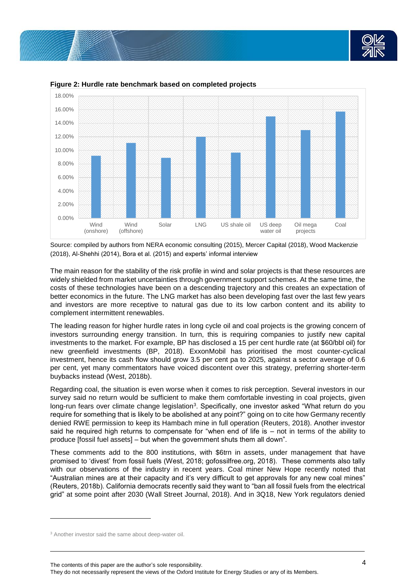



**Figure 2: Hurdle rate benchmark based on completed projects** 

Source: compiled by authors from NERA economic consulting (2015), Mercer Capital (2018), Wood Mackenzie (2018), Al-Shehhi (2014), Bora et al. (2015) and experts' informal interview

The main reason for the stability of the risk profile in wind and solar projects is that these resources are widely shielded from market uncertainties through government support schemes. At the same time, the costs of these technologies have been on a descending trajectory and this creates an expectation of better economics in the future. The LNG market has also been developing fast over the last few years and investors are more receptive to natural gas due to its low carbon content and its ability to complement intermittent renewables.

The leading reason for higher hurdle rates in long cycle oil and coal projects is the growing concern of investors surrounding energy transition. In turn, this is requiring companies to justify new capital investments to the market. For example, BP has disclosed a 15 per cent hurdle rate (at \$60/bbl oil) for new greenfield investments (BP, 2018). ExxonMobil has prioritised the most counter-cyclical investment, hence its cash flow should grow 3.5 per cent pa to 2025, against a sector average of 0.6 per cent, yet many commentators have voiced discontent over this strategy, preferring shorter-term buybacks instead (West, 2018b).

Regarding coal, the situation is even worse when it comes to risk perception. Several investors in our survey said no return would be sufficient to make them comfortable investing in coal projects, given long-run fears over climate change legislation<sup>3</sup>. Specifically, one investor asked "What return do you require for something that is likely to be abolished at any point?" going on to cite how Germany recently denied RWE permission to keep its Hambach mine in full operation (Reuters, 2018). Another investor said he required high returns to compensate for "when end of life is – not in terms of the ability to produce [fossil fuel assets] – but when the government shuts them all down".

These comments add to the 800 institutions, with \$6trn in assets, under management that have promised to 'divest' from fossil fuels (West, 2018; gofossilfree.org, 2018). These comments also tally with our observations of the industry in recent years. Coal miner New Hope recently noted that "Australian mines are at their capacity and it's very difficult to get approvals for any new coal mines" (Reuters, 2018b). California democrats recently said they want to "ban all fossil fuels from the electrical grid" at some point after 2030 (Wall Street Journal, 2018). And in 3Q18, New York regulators denied

l

The contents of this paper are the author's sole responsibility.

They do not necessarily represent the views of the Oxford Institute for Energy Studies or any of its Members.

<sup>&</sup>lt;sup>3</sup> Another investor said the same about deep-water oil.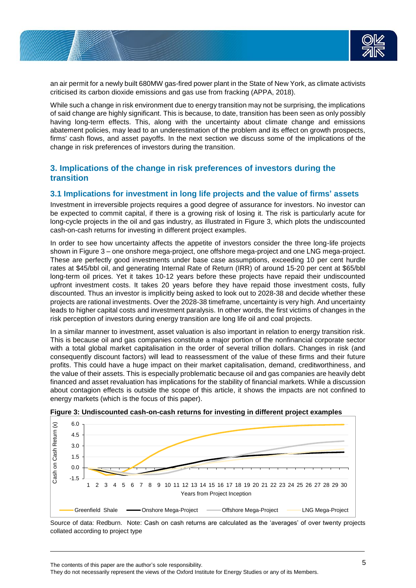

an air permit for a newly built 680MW gas-fired power plant in the State of New York, as climate activists criticised its carbon dioxide emissions and gas use from fracking (APPA, 2018).

While such a change in risk environment due to energy transition may not be surprising, the implications of said change are highly significant. This is because, to date, transition has been seen as only possibly having long-term effects. This, along with the uncertainty about climate change and emissions abatement policies, may lead to an underestimation of the problem and its effect on growth prospects, firms' cash flows, and asset payoffs. In the next section we discuss some of the implications of the change in risk preferences of investors during the transition.

# **3. Implications of the change in risk preferences of investors during the transition**

#### **3.1 Implications for investment in long life projects and the value of firms' assets**

Investment in irreversible projects requires a good degree of assurance for investors. No investor can be expected to commit capital, if there is a growing risk of losing it. The risk is particularly acute for long-cycle projects in the oil and gas industry, as illustrated in Figure 3, which plots the undiscounted cash-on-cash returns for investing in different project examples.

In order to see how uncertainty affects the appetite of investors consider the three long-life projects shown in Figure 3 – one onshore mega-project, one offshore mega-project and one LNG mega-project. These are perfectly good investments under base case assumptions, exceeding 10 per cent hurdle rates at \$45/bbl oil, and generating Internal Rate of Return (IRR) of around 15-20 per cent at \$65/bbl long-term oil prices. Yet it takes 10-12 years before these projects have repaid their undiscounted upfront investment costs. It takes 20 years before they have repaid those investment costs, fully discounted. Thus an investor is implicitly being asked to look out to 2028-38 and decide whether these projects are rational investments. Over the 2028-38 timeframe, uncertainty is very high. And uncertainty leads to higher capital costs and investment paralysis. In other words, the first victims of changes in the risk perception of investors during energy transition are long life oil and coal projects.

In a similar manner to investment, asset valuation is also important in relation to energy transition risk. This is because oil and gas companies constitute a major portion of the nonfinancial corporate sector with a total global market capitalisation in the order of several trillion dollars. Changes in risk (and consequently discount factors) will lead to reassessment of the value of these firms and their future profits. This could have a huge impact on their market capitalisation, demand, creditworthiness, and the value of their assets. This is especially problematic because oil and gas companies are heavily debt financed and asset revaluation has implications for the stability of financial markets. While a discussion about contagion effects is outside the scope of this article, it shows the impacts are not confined to energy markets (which is the focus of this paper).





Source of data: Redburn. Note: Cash on cash returns are calculated as the 'averages' of over twenty projects collated according to project type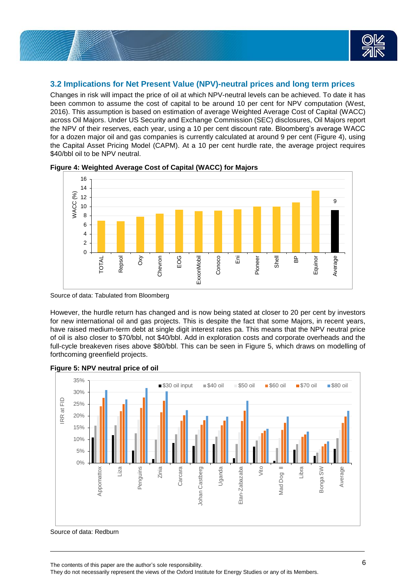

## **3.2 Implications for Net Present Value (NPV)-neutral prices and long term prices**

Changes in risk will impact the price of oil at which NPV-neutral levels can be achieved. To date it has been common to assume the cost of capital to be around 10 per cent for NPV computation (West, 2016). This assumption is based on estimation of average Weighted Average Cost of Capital (WACC) across Oil Majors. Under US Security and Exchange Commission (SEC) disclosures, Oil Majors report the NPV of their reserves, each year, using a 10 per cent discount rate. Bloomberg's average WACC for a dozen major oil and gas companies is currently calculated at around 9 per cent (Figure 4), using the Capital Asset Pricing Model (CAPM). At a 10 per cent hurdle rate, the average project requires \$40/bbl oil to be NPV neutral.



**Figure 4: Weighted Average Cost of Capital (WACC) for Majors**

However, the hurdle return has changed and is now being stated at closer to 20 per cent by investors for new international oil and gas projects. This is despite the fact that some Majors, in recent years, have raised medium-term debt at single digit interest rates pa. This means that the NPV neutral price of oil is also closer to \$70/bbl, not \$40/bbl. Add in exploration costs and corporate overheads and the full-cycle breakeven rises above \$80/bbl. This can be seen in Figure 5, which draws on modelling of forthcoming greenfield projects.



**Figure 5: NPV neutral price of oil** 

Source of data: Redburn

Source of data: Tabulated from Bloomberg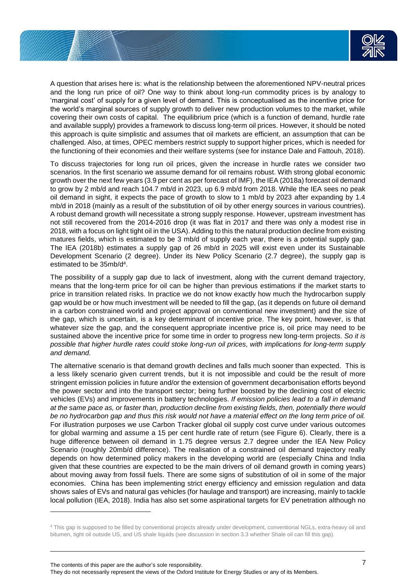

A question that arises here is: what is the relationship between the aforementioned NPV-neutral prices and the long run price of oil? One way to think about long-run commodity prices is by analogy to 'marginal cost' of supply for a given level of demand. This is conceptualised as the incentive price for the world's marginal sources of supply growth to deliver new production volumes to the market, while covering their own costs of capital. The equilibrium price (which is a function of demand, hurdle rate and available supply) provides a framework to discuss long-term oil prices. However, it should be noted this approach is quite simplistic and assumes that oil markets are efficient, an assumption that can be challenged. Also, at times, OPEC members restrict supply to support higher prices, which is needed for the functioning of their economies and their welfare systems (see for instance Dale and Fattouh, 2018).

To discuss trajectories for long run oil prices, given the increase in hurdle rates we consider two scenarios. In the first scenario we assume demand for oil remains robust. With strong global economic growth over the next few years (3.9 per cent as per forecast of IMF), the IEA (2018a) forecast oil demand to grow by 2 mb/d and reach 104.7 mb/d in 2023, up 6.9 mb/d from 2018. While the IEA sees no peak oil demand in sight, it expects the pace of growth to slow to 1 mb/d by 2023 after expanding by 1.4 mb/d in 2018 (mainly as a result of the substitution of oil by other energy sources in various countries). A robust demand growth will necessitate a strong supply response. However, upstream investment has not still recovered from the 2014-2016 drop (it was flat in 2017 and there was only a modest rise in 2018, with a focus on light tight oil in the USA). Adding to this the natural production decline from existing matures fields, which is estimated to be 3 mb/d of supply each year, there is a potential supply gap. The IEA (2018b) estimates a supply gap of 26 mb/d in 2025 will exist even under its Sustainable Development Scenario (2 degree). Under its New Policy Scenario (2.7 degree), the supply gap is estimated to be 35mb/d<sup>4</sup> .

The possibility of a supply gap due to lack of investment, along with the current demand trajectory, means that the long-term price for oil can be higher than previous estimations if the market starts to price in transition related risks. In practice we do not know exactly how much the hydrocarbon supply gap would be or how much investment will be needed to fill the gap, (as it depends on future oil demand in a carbon constrained world and project approval on conventional new investment) and the size of the gap, which is uncertain, is a key determinant of incentive price. The key point, however, is that whatever size the gap, and the consequent appropriate incentive price is, oil price may need to be sustained above the incentive price for some time in order to progress new long-term projects. *So it is possible that higher hurdle rates could stoke long-run oil prices, with implications for long-term supply and demand.*

The alternative scenario is that demand growth declines and falls much sooner than expected. This is a less likely scenario given current trends, but it is not impossible and could be the result of more stringent emission policies in future and/or the extension of government decarbonisation efforts beyond the power sector and into the transport sector; being further boosted by the declining cost of electric vehicles (EVs) and improvements in battery technologies. *If emission policies lead to a fall in demand at the same pace as, or faster than, production decline from existing fields, then, potentially there would be no hydrocarbon gap and thus this risk would not have a material effect on the long term price of oil.* For illustration purposes we use Carbon Tracker global oil supply cost curve under various outcomes for global warming and assume a 15 per cent hurdle rate of return (see Figure 6). Clearly, there is a huge difference between oil demand in 1.75 degree versus 2.7 degree under the IEA New Policy Scenario (roughly 20mb/d difference). The realisation of a constrained oil demand trajectory really depends on how determined policy makers in the developing world are (especially China and India given that these countries are expected to be the main drivers of oil demand growth in coming years) about moving away from fossil fuels. There are some signs of substitution of oil in some of the major economies. China has been implementing strict energy efficiency and emission regulation and data shows sales of EVs and natural gas vehicles (for haulage and transport) are increasing, mainly to tackle local pollution (IEA, 2018). India has also set some aspirational targets for EV penetration although no

The contents of this paper are the author's sole responsibility. They do not necessarily represent the views of the Oxford Institute for Energy Studies or any of its Members.

l

<sup>4</sup> This gap is supposed to be filled by conventional projects already under development, conventional NGLs, extra-heavy oil and bitumen, tight oil outside US, and US shale liquids (see discussion in section 3.3 whether Shale oil can fill this gap).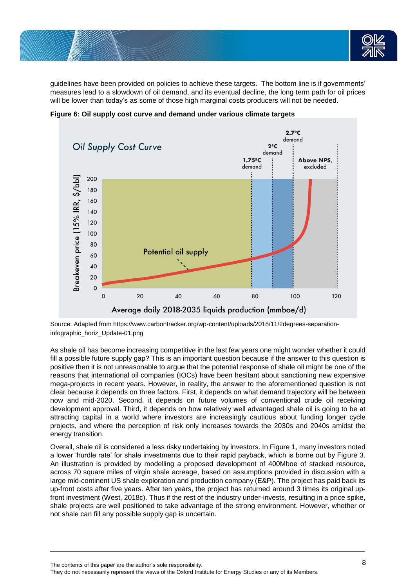

guidelines have been provided on policies to achieve these targets. The bottom line is if governments' measures lead to a slowdown of oil demand, and its eventual decline, the long term path for oil prices will be lower than today's as some of those high marginal costs producers will not be needed.



**Figure 6: Oil supply cost curve and demand under various climate targets**

Source: Adapted from https://www.carbontracker.org/wp-content/uploads/2018/11/2degrees-separationinfographic\_horiz\_Update-01.png

As shale oil has become increasing competitive in the last few years one might wonder whether it could fill a possible future supply gap? This is an important question because if the answer to this question is positive then it is not unreasonable to argue that the potential response of shale oil might be one of the reasons that international oil companies (IOCs) have been hesitant about sanctioning new expensive mega-projects in recent years. However, in reality, the answer to the aforementioned question is not clear because it depends on three factors. First, it depends on what demand trajectory will be between now and mid-2020. Second, it depends on future volumes of conventional crude oil receiving development approval. Third, it depends on how relatively well advantaged shale oil is going to be at attracting capital in a world where investors are increasingly cautious about funding longer cycle projects, and where the perception of risk only increases towards the 2030s and 2040s amidst the energy transition.

Overall, shale oil is considered a less risky undertaking by investors. In Figure 1, many investors noted a lower 'hurdle rate' for shale investments due to their rapid payback, which is borne out by Figure 3. An illustration is provided by modelling a proposed development of 400Mboe of stacked resource, across 70 square miles of virgin shale acreage, based on assumptions provided in discussion with a large mid-continent US shale exploration and production company (E&P). The project has paid back its up-front costs after five years. After ten years, the project has returned around 3 times its original upfront investment (West, 2018c). Thus if the rest of the industry under-invests, resulting in a price spike, shale projects are well positioned to take advantage of the strong environment. However, whether or not shale can fill any possible supply gap is uncertain.

The contents of this paper are the author's sole responsibility. They do not necessarily represent the views of the Oxford Institute for Energy Studies or any of its Members.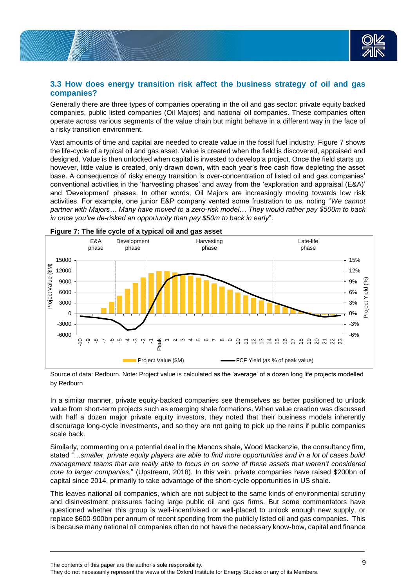

## **3.3 How does energy transition risk affect the business strategy of oil and gas companies?**

Generally there are three types of companies operating in the oil and gas sector: private equity backed companies, public listed companies (Oil Majors) and national oil companies. These companies often operate across various segments of the value chain but might behave in a different way in the face of a risky transition environment.

Vast amounts of time and capital are needed to create value in the fossil fuel industry. Figure 7 shows the life-cycle of a typical oil and gas asset. Value is created when the field is discovered, appraised and designed. Value is then unlocked when capital is invested to develop a project. Once the field starts up, however, little value is created, only drawn down, with each year's free cash flow depleting the asset base. A consequence of risky energy transition is over-concentration of listed oil and gas companies' conventional activities in the 'harvesting phases' and away from the 'exploration and appraisal (E&A)' and 'Development' phases. In other words, Oil Majors are increasingly moving towards low risk activities. For example, one junior E&P company vented some frustration to us, noting "*We cannot partner with Majors… Many have moved to a zero-risk model… They would rather pay \$500m to back in once you've de-risked an opportunity than pay \$50m to back in early*".



Source of data: Redburn. Note: Project value is calculated as the 'average' of a dozen long life projects modelled by Redburn

In a similar manner, private equity-backed companies see themselves as better positioned to unlock value from short-term projects such as emerging shale formations. When value creation was discussed with half a dozen major private equity investors, they noted that their business models inherently discourage long-cycle investments, and so they are not going to pick up the reins if public companies scale back.

Similarly, commenting on a potential deal in the Mancos shale, Wood Mackenzie, the consultancy firm, stated "…*smaller, private equity players are able to find more opportunities and in a lot of cases build management teams that are really able to focus in on some of these assets that weren't considered core to larger companies.*" (Upstream, 2018). In this vein, private companies have raised \$200bn of capital since 2014, primarily to take advantage of the short-cycle opportunities in US shale.

This leaves national oil companies, which are not subject to the same kinds of environmental scrutiny and disinvestment pressures facing large public oil and gas firms. But some commentators have questioned whether this group is well-incentivised or well-placed to unlock enough new supply, or replace \$600-900bn per annum of recent spending from the publicly listed oil and gas companies. This is because many national oil companies often do not have the necessary know-how, capital and finance

The contents of this paper are the author's sole responsibility. 9

They do not necessarily represent the views of the Oxford Institute for Energy Studies or any of its Members.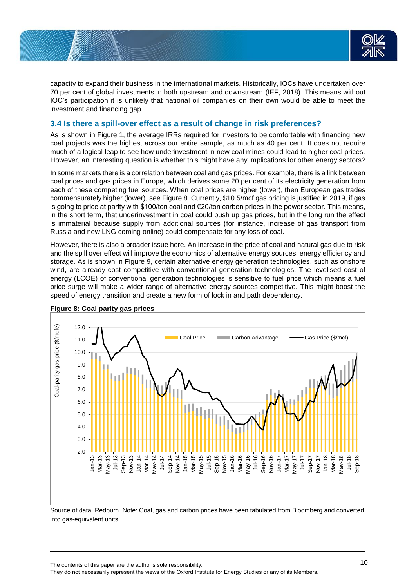

capacity to expand their business in the international markets. Historically, IOCs have undertaken over 70 per cent of global investments in both upstream and downstream (IEF, 2018). This means without IOC's participation it is unlikely that national oil companies on their own would be able to meet the investment and financing gap.

### **3.4 Is there a spill-over effect as a result of change in risk preferences?**

As is shown in Figure 1, the average IRRs required for investors to be comfortable with financing new coal projects was the highest across our entire sample, as much as 40 per cent. It does not require much of a logical leap to see how underinvestment in new coal mines could lead to higher coal prices. However, an interesting question is whether this might have any implications for other energy sectors?

In some markets there is a correlation between coal and gas prices. For example, there is a link between coal prices and gas prices in Europe, which derives some 20 per cent of its electricity generation from each of these competing fuel sources. When coal prices are higher (lower), then European gas trades commensurately higher (lower), see Figure 8. Currently, \$10.5/mcf gas pricing is justified in 2019, if gas is going to price at parity with \$100/ton coal and €20/ton carbon prices in the power sector. This means, in the short term, that underinvestment in coal could push up gas prices, but in the long run the effect is immaterial because supply from additional sources (for instance, increase of gas transport from Russia and new LNG coming online) could compensate for any loss of coal.

However, there is also a broader issue here. An increase in the price of coal and natural gas due to risk and the spill over effect will improve the economics of alternative energy sources, energy efficiency and storage. As is shown in Figure 9, certain alternative energy generation technologies, such as onshore wind, are already cost competitive with conventional generation technologies. The levelised cost of energy (LCOE) of conventional generation technologies is sensitive to fuel price which means a fuel price surge will make a wider range of alternative energy sources competitive. This might boost the speed of energy transition and create a new form of lock in and path dependency.



**Figure 8: Coal parity gas prices** 

Source of data: Redburn. Note: Coal, gas and carbon prices have been tabulated from Bloomberg and converted into gas-equivalent units.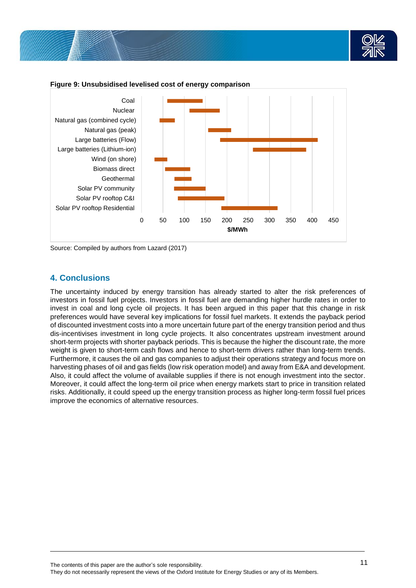



**Figure 9: Unsubsidised levelised cost of energy comparison**

Source: Compiled by authors from Lazard (2017)

# **4. Conclusions**

The uncertainty induced by energy transition has already started to alter the risk preferences of investors in fossil fuel projects. Investors in fossil fuel are demanding higher hurdle rates in order to invest in coal and long cycle oil projects. It has been argued in this paper that this change in risk preferences would have several key implications for fossil fuel markets. It extends the payback period of discounted investment costs into a more uncertain future part of the energy transition period and thus dis-incentivises investment in long cycle projects. It also concentrates upstream investment around short-term projects with shorter payback periods. This is because the higher the discount rate, the more weight is given to short-term cash flows and hence to short-term drivers rather than long-term trends. Furthermore, it causes the oil and gas companies to adjust their operations strategy and focus more on harvesting phases of oil and gas fields (low risk operation model) and away from E&A and development. Also, it could affect the volume of available supplies if there is not enough investment into the sector. Moreover, it could affect the long-term oil price when energy markets start to price in transition related risks. Additionally, it could speed up the energy transition process as higher long-term fossil fuel prices improve the economics of alternative resources.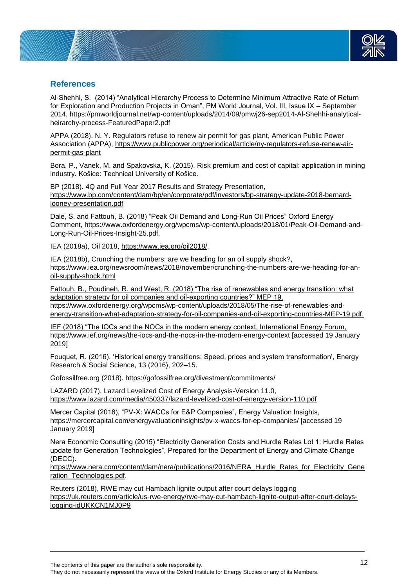

# **References**

Al-Shehhi, S. (2014) "Analytical Hierarchy Process to Determine Minimum Attractive Rate of Return for Exploration and Production Projects in Oman", PM World Journal, Vol. III, Issue IX – September 2014, https://pmworldjournal.net/wp-content/uploads/2014/09/pmwj26-sep2014-Al-Shehhi-analyticalheirarchy-process-FeaturedPaper2.pdf

APPA (2018). N. Y. Regulators refuse to renew air permit for gas plant, American Public Power Association (APPA), [https://www.publicpower.org/periodical/article/ny-regulators-refuse-renew-air](https://www.publicpower.org/periodical/article/ny-regulators-refuse-renew-air-permit-gas-plant)[permit-gas-plant](https://www.publicpower.org/periodical/article/ny-regulators-refuse-renew-air-permit-gas-plant)

Bora, P., Vanek, M. and Spakovska, K. (2015). Risk premium and cost of capital: application in mining industry. Košice: Technical University of Košice.

BP (2018). 4Q and Full Year 2017 Results and Strategy Presentation, [https://www.bp.com/content/dam/bp/en/corporate/pdf/investors/bp-strategy-update-2018-bernard](https://www.bp.com/content/dam/bp/en/corporate/pdf/investors/bp-strategy-update-2018-bernard-looney-presentation.pdf)[looney-presentation.pdf](https://www.bp.com/content/dam/bp/en/corporate/pdf/investors/bp-strategy-update-2018-bernard-looney-presentation.pdf)

Dale, S. and Fattouh, B. (2018) "Peak Oil Demand and Long-Run Oil Prices" Oxford Energy Comment, https://www.oxfordenergy.org/wpcms/wp-content/uploads/2018/01/Peak-Oil-Demand-and-Long-Run-Oil-Prices-Insight-25.pdf.

IEA (2018a), Oil 2018, [https://www.iea.org/oil2018/.](https://www.iea.org/oil2018/)

IEA (2018b), Crunching the numbers: are we heading for an oil supply shock?, [https://www.iea.org/newsroom/news/2018/november/crunching-the-numbers-are-we-heading-for-an](https://www.iea.org/newsroom/news/2018/november/crunching-the-numbers-are-we-heading-for-an-oil-supply-shock.html)[oil-supply-shock.html](https://www.iea.org/newsroom/news/2018/november/crunching-the-numbers-are-we-heading-for-an-oil-supply-shock.html)

Fattouh, B., Poudineh, R. and West, R. (2018) "The rise of renewables and energy transition: what adaptation strategy for oil companies and oil-exporting countries?" MEP 19, [https://www.oxfordenergy.org/wpcms/wp-content/uploads/2018/05/The-rise-of-renewables-and](https://www.oxfordenergy.org/wpcms/wp-content/uploads/2018/05/The-rise-of-renewables-and-energy-transition-what-adaptation-strategy-for-oil-companies-and-oil-exporting-countries-MEP-19.pdf)[energy-transition-what-adaptation-strategy-for-oil-companies-and-oil-exporting-countries-MEP-19.pdf.](https://www.oxfordenergy.org/wpcms/wp-content/uploads/2018/05/The-rise-of-renewables-and-energy-transition-what-adaptation-strategy-for-oil-companies-and-oil-exporting-countries-MEP-19.pdf)

IEF (2018) "The IOCs and the NOCs in the modern energy context, International Energy Forum, <https://www.ief.org/news/the-iocs-and-the-nocs-in-the-modern-energy-context> [accessed 19 January 2019]

Fouquet, R. (2016). 'Historical energy transitions: Speed, prices and system transformation', Energy Research & Social Science, 13 (2016), 202–15.

Gofossilfree.org (2018). https://gofossilfree.org/divestment/commitments/

LAZARD (2017), Lazard Levelized Cost of Energy Analysis-Version 11.0, <https://www.lazard.com/media/450337/lazard-levelized-cost-of-energy-version-110.pdf>

Mercer Capital (2018), "PV-X: WACCs for E&P Companies", Energy Valuation Insights, https://mercercapital.com/energyvaluationinsights/pv-x-waccs-for-ep-companies/ [accessed 19 January 2019]

Nera Economic Consulting (2015) "Electricity Generation Costs and Hurdle Rates Lot 1: Hurdle Rates update for Generation Technologies", Prepared for the Department of Energy and Climate Change (DECC).

[https://www.nera.com/content/dam/nera/publications/2016/NERA\\_Hurdle\\_Rates\\_for\\_Electricity\\_Gene](https://www.nera.com/content/dam/nera/publications/2016/NERA_Hurdle_Rates_for_Electricity_Generation_Technologies.pdf) [ration\\_Technologies.pdf.](https://www.nera.com/content/dam/nera/publications/2016/NERA_Hurdle_Rates_for_Electricity_Generation_Technologies.pdf)

Reuters (2018), RWE may cut Hambach lignite output after court delays logging [https://uk.reuters.com/article/us-rwe-energy/rwe-may-cut-hambach-lignite-output-after-court-delays](https://uk.reuters.com/article/us-rwe-energy/rwe-may-cut-hambach-lignite-output-after-court-delays-logging-idUKKCN1MJ0P9)[logging-idUKKCN1MJ0P9](https://uk.reuters.com/article/us-rwe-energy/rwe-may-cut-hambach-lignite-output-after-court-delays-logging-idUKKCN1MJ0P9)

The contents of this paper are the author's sole responsibility.

They do not necessarily represent the views of the Oxford Institute for Energy Studies or any of its Members.